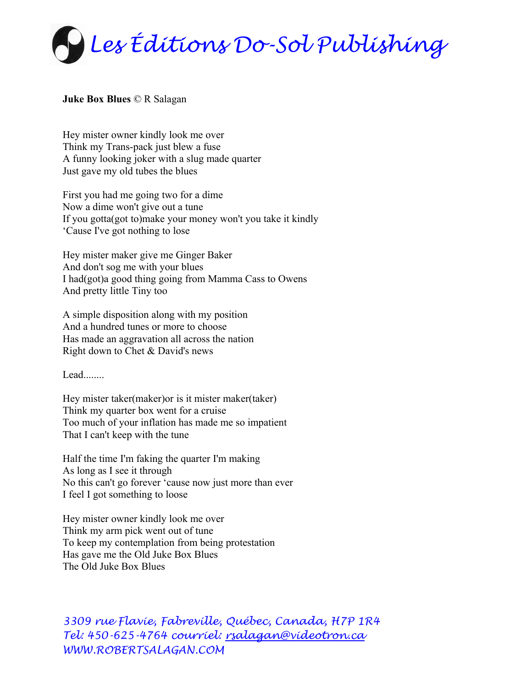

## **Juke Box Blues** © R Salagan

Hey mister owner kindly look me over Think my Trans-pack just blew a fuse A funny looking joker with a slug made quarter Just gave my old tubes the blues

First you had me going two for a dime Now a dime won't give out a tune If you gotta(got to)make your money won't you take it kindly 'Cause I've got nothing to lose

Hey mister maker give me Ginger Baker And don't sog me with your blues I had(got)a good thing going from Mamma Cass to Owens And pretty little Tiny too

A simple disposition along with my position And a hundred tunes or more to choose Has made an aggravation all across the nation Right down to Chet & David's news

Lead.......

Hey mister taker(maker)or is it mister maker(taker) Think my quarter box went for a cruise Too much of your inflation has made me so impatient That I can't keep with the tune

Half the time I'm faking the quarter I'm making As long as I see it through No this can't go forever 'cause now just more than ever I feel I got something to loose

Hey mister owner kindly look me over Think my arm pick went out of tune To keep my contemplation from being protestation Has gave me the Old Juke Box Blues The Old Juke Box Blues

*3309 rue Flavie, Fabreville, Québec, Canada, H7P 1R4 Tel: 450-625-4764 courriel: [rsalagan@videotron.ca](mailto:rsalagan@videotron.ca)  WWW.ROBERTSALAGAN.COM*